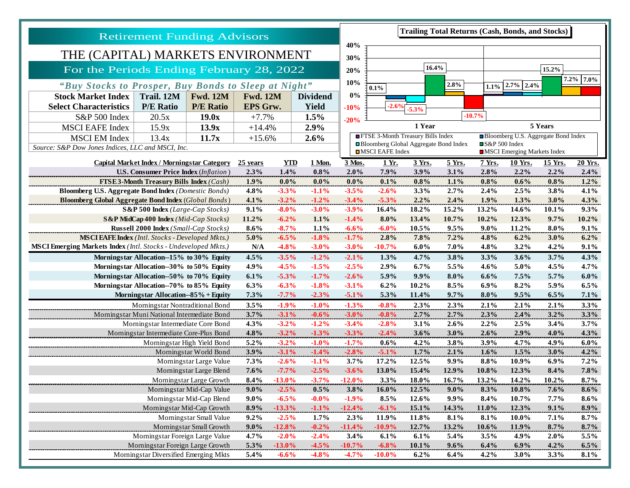| <b>Retirement Funding Advisors</b>                                                |                                                |                  |                                    |                    |                    | <b>Trailing Total Returns (Cash, Bonds, and Stocks)</b> |                                                                                                                                    |                |                                     |              |                 |                 |              |  |
|-----------------------------------------------------------------------------------|------------------------------------------------|------------------|------------------------------------|--------------------|--------------------|---------------------------------------------------------|------------------------------------------------------------------------------------------------------------------------------------|----------------|-------------------------------------|--------------|-----------------|-----------------|--------------|--|
| THE (CAPITAL) MARKETS ENVIRONMENT                                                 |                                                |                  |                                    |                    |                    | 40%                                                     |                                                                                                                                    |                |                                     |              |                 |                 |              |  |
|                                                                                   |                                                |                  |                                    |                    |                    | 30%                                                     |                                                                                                                                    |                |                                     |              |                 |                 |              |  |
| For the Periods Ending February 28, 2022                                          |                                                |                  |                                    |                    |                    | 20%                                                     | 16.4%<br>15.2%<br>$7.2\%$ 7.0%                                                                                                     |                |                                     |              |                 |                 |              |  |
| "Buy Stocks to Prosper, Buy Bonds to Sleep at Night"                              |                                                |                  |                                    |                    |                    | 10%                                                     | 2.8%<br>$ 2.7\% 2.4\%$<br>1.1%<br>0.1%                                                                                             |                |                                     |              |                 |                 |              |  |
| Trail. 12M<br><b>Fwd. 12M</b><br><b>Stock Market Index</b>                        |                                                |                  | <b>Fwd. 12M</b><br><b>Dividend</b> |                    |                    | 0%                                                      |                                                                                                                                    |                |                                     |              |                 |                 |              |  |
| <b>Select Characteristics</b>                                                     | <b>P/E Ratio</b>                               | <b>P/E Ratio</b> | <b>EPS Grw.</b>                    |                    | <b>Yield</b>       | $-10%$                                                  | $-2.6%$<br>$-5.3%$                                                                                                                 |                |                                     |              |                 |                 |              |  |
| S&P 500 Index                                                                     | 20.5x                                          | 19.0x            | $+7.7%$                            |                    | 1.5%               | $-20%$                                                  |                                                                                                                                    |                |                                     | $-10.7%$     |                 |                 |              |  |
| <b>MSCI EAFE Index</b>                                                            | 15.9x                                          | 13.9x            | $+14.4%$                           |                    | 2.9%               |                                                         |                                                                                                                                    | 1 Year         |                                     | 5 Years      |                 |                 |              |  |
| <b>MSCI EM Index</b>                                                              | 13.4x<br>11.7x                                 |                  | $+15.6%$<br>2.6%                   |                    |                    | <b>EFTSE 3-Month Treasury Bills Index</b>               |                                                                                                                                    |                | Bloomberg U.S. Aggregate Bond Index |              |                 |                 |              |  |
| Source: S&P Dow Jones Indices, LLC and MSCI, Inc.                                 |                                                |                  |                                    |                    |                    |                                                         | Bloomberg Global Aggregate Bond Index<br>$\square$ S&P 500 Index<br><b>OMSCI EAFE Index</b><br><b>IMSCI</b> Emerging Markets Index |                |                                     |              |                 |                 |              |  |
| Capital Market Index / Morningstar Category                                       |                                                |                  | $25$ years                         | <b>YTD</b>         | 1 Mon.             | 3 Mos.                                                  | 1 Yr.                                                                                                                              | 3 Yrs.         | <u>5 Yrs.</u>                       | 7 Yrs.       | 10 Yrs.         | 15 Yrs.         | 20 Yrs.      |  |
|                                                                                   | <b>U.S. Consumer Price Index (Inflation)</b>   |                  | 2.3%                               | 1.4%               | $0.8\%$            | 2.0%                                                    | 7.9%                                                                                                                               | 3.9%           | 3.1%                                | 2.8%         | $2.2\%$         | $2.2\%$         | 2.4%         |  |
|                                                                                   | <b>FTSE3-Month Treasury Bills Index (Cash)</b> |                  | 1.9%                               | $0.0\%$            | $0.0\%$            | $0.0\%$                                                 | 0.1%                                                                                                                               | 0.8%           | 1.1%                                | $0.8\%$      | $0.6\%$         | $0.8\%$         | $1.2\%$      |  |
| <b>Bloomberg U.S. Aggregate Bond Index (Domestic Bonds)</b>                       |                                                |                  | 4.8%                               | $-3.3%$            | $-1.1%$            | $-3.5%$                                                 | $-2.6%$                                                                                                                            | 3.3%           | 2.7%                                | 2.4%         | $2.5\%$         | 3.8%            | 4.1%         |  |
| <b>Bloomberg Global Aggregate Bond Index (Global Bonds)</b>                       |                                                |                  | 4.1%                               | $-3.2%$            | $-1.2%$            | $-3.4%$                                                 | $-5.3\%$                                                                                                                           | 2.2%           | 2.4%                                | 1.9%         | 1.3%            | $3.0\%$         | 4.3%         |  |
|                                                                                   | S&P 500 Index (Large-Cap Stocks)               |                  | 9.1%                               | $-8.0\%$           | $-3.0%$            | $-3.9%$                                                 | 16.4%                                                                                                                              | 18.2%          | 15.2%                               | 13.2%        | 14.6%           | 10.1%           | 9.3%         |  |
| S&P MidCap 400 Index (Mid-Cap Stocks)                                             |                                                |                  | 11.2%                              | $-6.2%$            | 1.1%               | $-1.4%$                                                 | 8.0%                                                                                                                               | 13.4%          | 10.7%                               | 10.2%        | 12.3%           | 9.7%            | 10.2%        |  |
|                                                                                   | <b>Russell 2000 Index</b> (Small-Cap Stocks)   |                  | $8.6\%$                            | $-8.7%$            | 1.1%               | $-6.6%$                                                 | $-6.0%$                                                                                                                            | 10.5%          | 9.5%                                | $9.0\%$      | 11.2%           | 8.0%            | $9.1\%$      |  |
| <b>MSCI EAFE Index</b> (Intl. Stocks - Developed Mkts.)                           |                                                |                  | 5.0%                               | $-6.5%$            | $-1.8%$            | $-1.7%$                                                 | 2.8%                                                                                                                               | 7.8%           | $7.2\%$                             | 4.8%         | 6.2%            | 3.0%            | 6.2%         |  |
| MSCI Emerging Markets Index (Intl. Stocks - Undeveloped Mkts.)                    |                                                |                  | N/A                                | $-4.8%$            | $-3.0%$            | $-3.0%$                                                 | $-10.7%$                                                                                                                           | 6.0%           | 7.0%                                | 4.8%         | $3.2\%$         | $4.2\%$         | 9.1%         |  |
| Morningstar Allocation--15% to 30% Equity                                         |                                                |                  | 4.5%                               | $-3.5%$            | $-1.2%$            | $-2.1%$                                                 | 1.3%                                                                                                                               | 4.7%           | 3.8%                                | 3.3%         | 3.6%            | 3.7%            | 4.3%         |  |
| Morningstar Allocation--30% to 50% Equity                                         |                                                |                  | 4.9%                               | $-4.5%$            | $-1.5%$            | $-2.5%$                                                 | 2.9%                                                                                                                               | 6.7%           | 5.5%                                | 4.6%         | 5.0%            | 4.5%            | 4.7%         |  |
| Morningstar Allocation--50% to 70% Equity                                         |                                                |                  | 6.1%                               | $-5.3%$            | $-1.7%$            | $-2.6%$                                                 | 5.9%                                                                                                                               | 9.9%           | $8.0\%$                             | $6.6\%$      | 7.5%            | 5.7%            | $6.0\%$      |  |
| Morningstar Allocation--70% to 85% Equity                                         |                                                |                  | 6.3%<br>7.3%                       | $-6.3%$<br>$-7.7%$ | $-1.8%$<br>$-2.3%$ | $-3.1%$<br>$-5.1%$                                      | 6.2%<br>5.3%                                                                                                                       | 10.2%<br>11.4% | 8.5%<br>9.7%                        | 6.9%<br>8.0% | 8.2%<br>$9.5\%$ | 5.9%<br>$6.5\%$ | 6.5%<br>7.1% |  |
| Morningstar Allocation--85% + Equity<br>Morningstar Nontraditional Bond           |                                                |                  | 3.5%                               | $-1.9%$            | $-1.0%$            |                                                         | $-0.8%$                                                                                                                            |                | 2.3%                                | 2.1%         | 2.1%            | 2.1%            |              |  |
|                                                                                   |                                                |                  | 3.7%                               | $-3.1%$            | $-0.6%$            | $-1.3%$<br>$-3.0\%$                                     | $-0.8\%$                                                                                                                           | 2.3%<br>2.7%   | 2.7%                                | 2.3%         | 2.4%            | $3.2\%$         | 3.3%<br>3.3% |  |
| Morningstar Muni National Intermediate Bond<br>Morningstar Intermediate Core Bond |                                                |                  | 4.3%                               | $-3.2%$            | $-1.2%$            | $-3.4%$                                                 | $-2.8%$                                                                                                                            | 3.1%           | 2.6%                                | 2.2%         | 2.5%            | 3.4%            | 3.7%         |  |
| Morningstar Intermediate Core-Plus Bond                                           |                                                |                  | 4.8%                               | $-3.2%$            | $-1.3%$            | $-3.3%$                                                 | $-2.4%$                                                                                                                            | 3.6%           | 3.0%                                | 2.6%         | 2.9%            | 4.0%            | 4.3%         |  |
| Morningstar High Yield Bond                                                       |                                                |                  | 5.2%                               | $-3.2%$            | $-1.0%$            | $-1.7%$                                                 | 0.6%                                                                                                                               | 4.2%           | 3.8%                                | 3.9%         | 4.7%            | 4.9%            | $6.0\%$      |  |
| Morningstar World Bond                                                            |                                                |                  | 3.9%                               | $-3.1%$            | $-1.4%$            | $-2.8%$                                                 | $-5.1%$                                                                                                                            | 1.7%           | 2.1%                                | 1.6%         | 1.5%            | 3.0%            | 4.2%         |  |
| Morningstar Large Value                                                           |                                                |                  | $7.3\%$                            | $-2.6%$            | $-1.1%$            | 3.7%                                                    | 17.2%                                                                                                                              | 12.5%          | 9.9%                                | 8.8%         | 10.9%           | $6.9\%$         | $7.2\%$      |  |
|                                                                                   | Morningstar Large Blend                        |                  |                                    | $-7.7%$            | $-2.5%$            | $-3.6%$                                                 | 13.0%                                                                                                                              | 15.4%          | 12.9%                               | 10.8%        | 12.3%           | 8.4%            | 7.8%         |  |
| Morningstar Large Growth                                                          |                                                |                  | 7.6%<br>8.4%                       | $-13.0%$           | $-3.7%$            | $-12.0%$                                                | 3.3%                                                                                                                               | $18.0\%$       | 16.7%                               | 13.2%        | 14.2%           | $10.2\%$        | $8.7\%$      |  |
| Morningstar Mid-Cap Value                                                         |                                                |                  | $9.0\%$                            | $-2.5%$            | $0.5\%$            | 3.8%                                                    | 16.0%                                                                                                                              | 12.5%          | $9.0\%$                             | 8.3%         | 10.8%           | 7.6%            | $8.6\%$      |  |
| Morningstar Mid-Cap Blend                                                         |                                                |                  | $9.0\%$                            | $-6.5%$            | $-0.0\%$           | $-1.9%$                                                 | 8.5%                                                                                                                               | 12.6%          | 9.9%                                | 8.4%         | 10.7%           | $7.7\%$         | $8.6\%$      |  |
| Morningstar Mid-Cap Growth                                                        |                                                |                  | 8.9%                               | $-13.3%$           | $-1.1%$            | $-12.4%$                                                | $-6.1%$                                                                                                                            | 15.1%          | 14.3%                               | $11.0\%$     | 12.3%           | 9.1%            | $8.9\%$      |  |
| Morningstar Small Value                                                           |                                                |                  | 9.2%                               | $-2.5%$            | $1.7\%$            | 2.3%                                                    | 11.9%                                                                                                                              | 11.8%          | 8.1%                                | 8.1%         | $10.0\%$        | 7.1%            | 8.7%         |  |
| Morningstar Small Growth                                                          |                                                | $9.0\%$          | $-12.8%$                           | $-0.2%$            | $-11.4%$           | $-10.9%$                                                | 12.7%                                                                                                                              | 13.2%          | $10.6\%$                            | 11.9%        | 8.7%            | $8.7\%$         |              |  |
| Morningstar Foreign Large Value                                                   |                                                |                  | 4.7%                               | $-2.0%$            | $-2.4%$            | 3.4%                                                    | 6.1%                                                                                                                               | 6.1%           | 5.4%                                | 3.5%         | 4.9%            | 2.0%            | 5.5%         |  |
| Morningstar Foreign Large Growth                                                  |                                                |                  | 5.3%                               | $-13.0%$           | $-4.5%$            | $-10.7%$                                                | $-6.8%$                                                                                                                            | 10.1%          | 9.6%                                | 6.4%         | $6.9\%$         | $4.2\%$         | 6.5%         |  |
| Morningstar Diversified Emerging Mkts                                             |                                                |                  | 5.4%                               | $-6.6%$            | $-4.8%$            | $-4.7%$                                                 | $-10.0%$                                                                                                                           | 6.2%           | 6.4%                                | 4.2%         | $3.0\%$         | 3.3%            | 8.1%         |  |